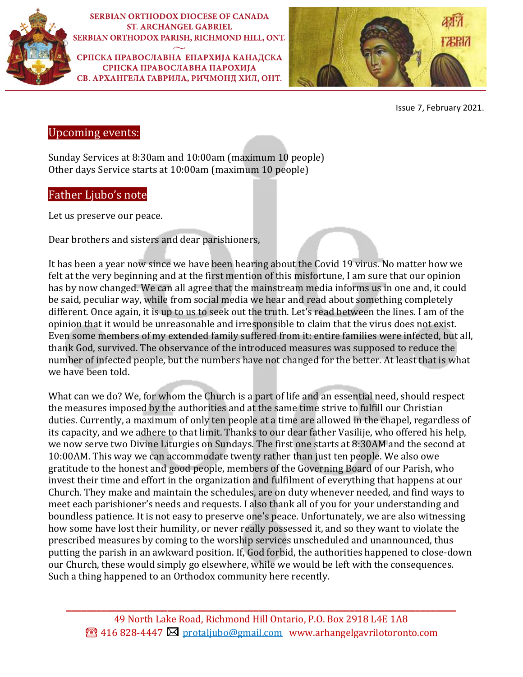

**SERBIAN ORTHODOX DIOCESE OF CANADA ST. ARCHANGEL GABRIEL** SERBIAN ORTHODOX PARISH, RICHMOND HILL, ONT.

СРПСКА ПРАВОСЛАВНА ЕПАРХИЈА КАНАДСКА СРПСКА ПРАВОСЛАВНА ПАРОХИЈА СВ. АРХАНГЕЛА ГАВРИЛА, РИЧМОНД ХИЛ, ОНТ.



Issue 7, February 2021.

# Upcoming events:

Sunday Services at 8:30am and 10:00am (maximum 10 people) Other days Service starts at 10:00am (maximum 10 people)

# Father Ljubo's note

Let us preserve our peace.

Dear brothers and sisters and dear parishioners,

It has been a year now since we have been hearing about the Covid 19 virus. No matter how we felt at the very beginning and at the first mention of this misfortune, I am sure that our opinion has by now changed. We can all agree that the mainstream media informs us in one and, it could be said, peculiar way, while from social media we hear and read about something completely different. Once again, it is up to us to seek out the truth. Let's read between the lines. I am of the opinion that it would be unreasonable and irresponsible to claim that the virus does not exist. Even some members of my extended family suffered from it: entire families were infected, but all, thank God, survived. The observance of the introduced measures was supposed to reduce the number of infected people, but the numbers have not changed for the better. At least that is what we have been told.

What can we do? We, for whom the Church is a part of life and an essential need, should respect the measures imposed by the authorities and at the same time strive to fulfill our Christian duties. Currently, a maximum of only ten people at a time are allowed in the chapel, regardless of its capacity, and we adhere to that limit. Thanks to our dear father Vasilije, who offered his help, we now serve two Divine Liturgies on Sundays. The first one starts at 8:30AM and the second at 10:00AM. This way we can accommodate twenty rather than just ten people. We also owe gratitude to the honest and good people, members of the Governing Board of our Parish, who invest their time and effort in the organization and fulfilment of everything that happens at our Church. They make and maintain the schedules, are on duty whenever needed, and find ways to meet each parishioner's needs and requests. I also thank all of you for your understanding and boundless patience. It is not easy to preserve one's peace. Unfortunately, we are also witnessing how some have lost their humility, or never really possessed it, and so they want to violate the prescribed measures by coming to the worship services unscheduled and unannounced, thus putting the parish in an awkward position. If, God forbid, the authorities happened to close-down our Church, these would simply go elsewhere, while we would be left with the consequences. Such a thing happened to an Orthodox community here recently.

**\_\_\_\_\_\_\_\_\_\_\_\_\_\_\_\_\_\_\_\_\_\_\_\_\_\_\_\_\_\_\_\_\_\_\_\_\_\_\_\_\_\_\_\_\_\_\_\_\_\_\_\_\_\_\_\_\_\_\_\_\_\_\_\_\_\_\_\_\_\_\_\_\_\_\_\_\_**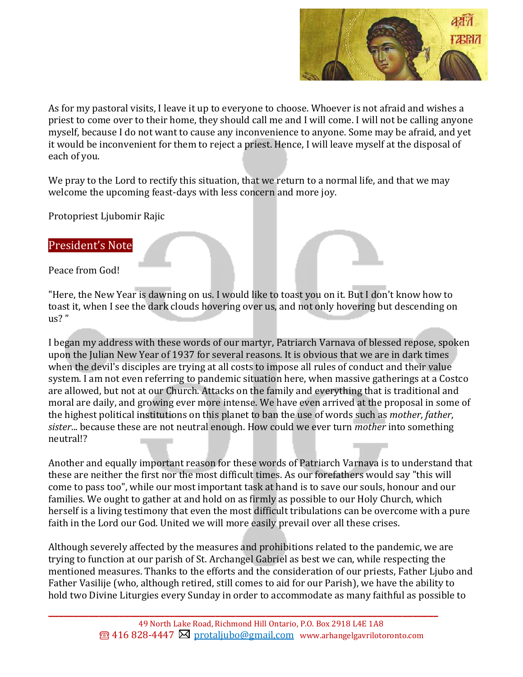

As for my pastoral visits, I leave it up to everyone to choose. Whoever is not afraid and wishes a priest to come over to their home, they should call me and I will come. I will not be calling anyone myself, because I do not want to cause any inconvenience to anyone. Some may be afraid, and yet it would be inconvenient for them to reject a priest. Hence, I will leave myself at the disposal of each of you.

We pray to the Lord to rectify this situation, that we return to a normal life, and that we may welcome the upcoming feast-days with less concern and more joy.

Protopriest Ljubomir Rajic

## President's Note

Peace from God!

"Here, the New Year is dawning on us. I would like to toast you on it. But I don't know how to toast it, when I see the dark clouds hovering over us, and not only hovering but descending on  $us?$ "

I began my address with these words of our martyr, Patriarch Varnava of blessed repose, spoken upon the Julian New Year of 1937 for several reasons. It is obvious that we are in dark times when the devil's disciples are trying at all costs to impose all rules of conduct and their value system. I am not even referring to pandemic situation here, when massive gatherings at a Costco are allowed, but not at our Church. Attacks on the family and everything that is traditional and moral are daily, and growing ever more intense. We have even arrived at the proposal in some of the highest political institutions on this planet to ban the use of words such as *mother*, *father*, *sister*... because these are not neutral enough. How could we ever turn *mother* into something neutral!?

Another and equally important reason for these words of Patriarch Varnava is to understand that these are neither the first nor the most difficult times. As our forefathers would say "this will come to pass too", while our most important task at hand is to save our souls, honour and our families. We ought to gather at and hold on as firmly as possible to our Holy Church, which herself is a living testimony that even the most difficult tribulations can be overcome with a pure faith in the Lord our God. United we will more easily prevail over all these crises.

Although severely affected by the measures and prohibitions related to the pandemic, we are trying to function at our parish of St. Archangel Gabriel as best we can, while respecting the mentioned measures. Thanks to the efforts and the consideration of our priests, Father Ljubo and Father Vasilije (who, although retired, still comes to aid for our Parish), we have the ability to hold two Divine Liturgies every Sunday in order to accommodate as many faithful as possible to

**\_\_\_\_\_\_\_\_\_\_\_\_\_\_\_\_\_\_\_\_\_\_\_\_\_\_\_\_\_\_\_\_\_\_\_\_\_\_\_\_\_\_\_\_\_\_\_\_\_\_\_\_\_\_\_\_\_\_\_\_\_\_\_\_\_\_\_\_\_\_\_\_\_\_\_\_\_**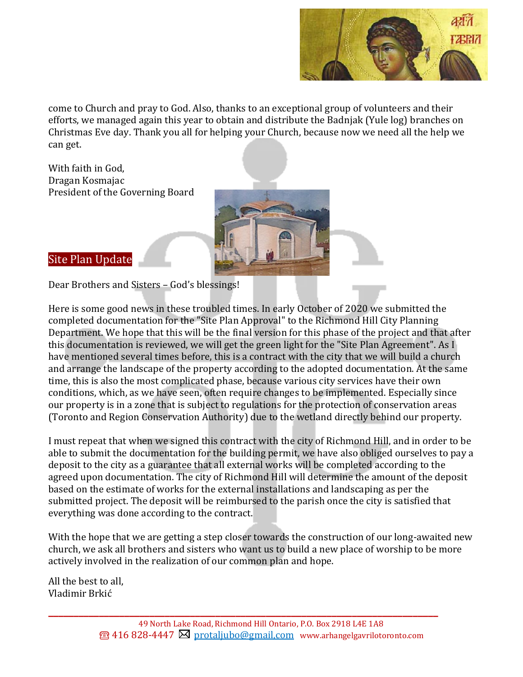

come to Church and pray to God. Also, thanks to an exceptional group of volunteers and their efforts, we managed again this year to obtain and distribute the Badnjak (Yule log) branches on Christmas Eve day. Thank you all for helping your Church, because now we need all the help we can get.

With faith in God, Dragan Kosmajac President of the Governing Board



Site Plan Update

Dear Brothers and Sisters – God's blessings!

Here is some good news in these troubled times. In early October of 2020 we submitted the completed documentation for the "Site Plan Approval" to the Richmond Hill City Planning Department. We hope that this will be the final version for this phase of the project and that after this documentation is reviewed, we will get the green light for the "Site Plan Agreement". As I have mentioned several times before, this is a contract with the city that we will build a church and arrange the landscape of the property according to the adopted documentation. At the same time, this is also the most complicated phase, because various city services have their own conditions, which, as we have seen, often require changes to be implemented. Especially since our property is in a zone that is subject to regulations for the protection of conservation areas (Toronto and Region Conservation Authority) due to the wetland directly behind our property.

I must repeat that when we signed this contract with the city of Richmond Hill, and in order to be able to submit the documentation for the building permit, we have also obliged ourselves to pay a deposit to the city as a guarantee that all external works will be completed according to the agreed upon documentation. The city of Richmond Hill will determine the amount of the deposit based on the estimate of works for the external installations and landscaping as per the submitted project. The deposit will be reimbursed to the parish once the city is satisfied that everything was done according to the contract.

With the hope that we are getting a step closer towards the construction of our long-awaited new church, we ask all brothers and sisters who want us to build a new place of worship to be more actively involved in the realization of our common plan and hope.

All the best to all, Vladimir Brkić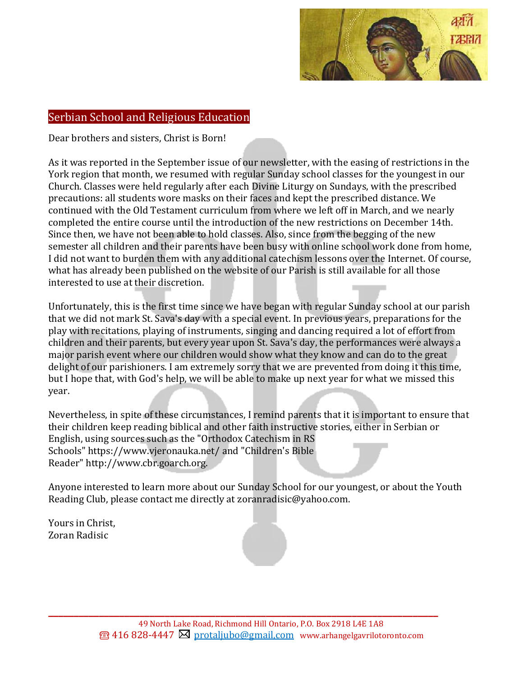

## Serbian School and Religious Education

Dear brothers and sisters, Christ is Born!

As it was reported in the September issue of our newsletter, with the easing of restrictions in the York region that month, we resumed with regular Sunday school classes for the youngest in our Church. Classes were held regularly after each Divine Liturgy on Sundays, with the prescribed precautions: all students wore masks on their faces and kept the prescribed distance. We continued with the Old Testament curriculum from where we left off in March, and we nearly completed the entire course until the introduction of the new restrictions on December 14th. Since then, we have not been able to hold classes. Also, since from the begging of the new semester all children and their parents have been busy with online school work done from home, I did not want to burden them with any additional catechism lessons over the Internet. Of course, what has already been published on the website of our Parish is still available for all those interested to use at their discretion.

Unfortunately, this is the first time since we have began with regular Sunday school at our parish that we did not mark St. Sava's day with a special event. In previous years, preparations for the play with recitations, playing of instruments, singing and dancing required a lot of effort from children and their parents, but every year upon St. Sava's day, the performances were always a major parish event where our children would show what they know and can do to the great delight of our parishioners. I am extremely sorry that we are prevented from doing it this time, but I hope that, with God's help, we will be able to make up next year for what we missed this year.

Nevertheless, in spite of these circumstances, I remind parents that it is important to ensure that their children keep reading biblical and other faith instructive stories, either in Serbian or English, using sources such as the "Orthodox Catechism in RS Schools" [https://www.vjeronauka.net/](https://urldefense.com/v3/__https:/www.vjeronauka.net/__;!!JtwtF54jn92Iq-I!JwmTt_DmNxv_WzXgc96wyiNjjIW-Pe2SVuUptkm2eEnzWPEptRabIiJen_JTbP-ZvPwO_O_-$) and "Children's Bible Reader" [http://www.cbr.goarch.org.](https://urldefense.com/v3/__http:/www.cbr.goarch.org__;!!JtwtF54jn92Iq-I!JwmTt_DmNxv_WzXgc96wyiNjjIW-Pe2SVuUptkm2eEnzWPEptRabIiJen_JTbP-ZvD4vGnPM$)

Anyone interested to learn more about our Sunday School for our youngest, or about the Youth Reading Club, please contact me directly at [zoranradisic@yahoo.com.](mailto:zoranradisic@yahoo.com)

Yours in Christ, Zoran Radisic